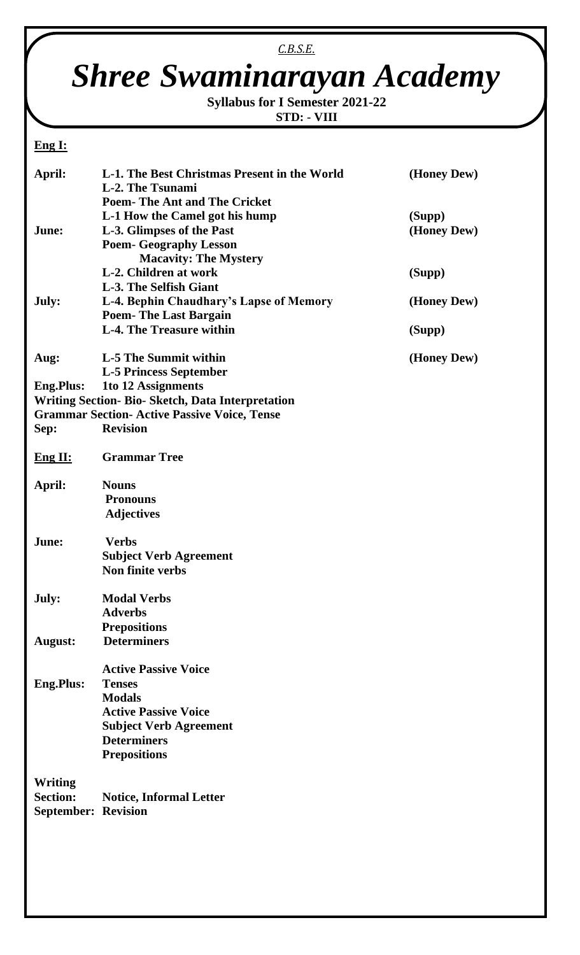## *C.B.S.E.*

## *Shree Swaminarayan Academy*

**Syllabus for I Semester 2021-22 STD: - VIII**

## **Eng I:**

| April:                                                   | L-1. The Best Christmas Present in the World        | (Honey Dew) |  |
|----------------------------------------------------------|-----------------------------------------------------|-------------|--|
|                                                          | L-2. The Tsunami                                    |             |  |
|                                                          | <b>Poem-The Ant and The Cricket</b>                 |             |  |
|                                                          | L-1 How the Camel got his hump                      | (Supp)      |  |
| June:                                                    | L-3. Glimpses of the Past                           | (Honey Dew) |  |
|                                                          | <b>Poem- Geography Lesson</b>                       |             |  |
|                                                          | <b>Macavity: The Mystery</b>                        |             |  |
|                                                          | L-2. Children at work                               | (Supp)      |  |
|                                                          | L-3. The Selfish Giant                              |             |  |
| July:                                                    | L-4. Bephin Chaudhary's Lapse of Memory             | (Honey Dew) |  |
|                                                          | <b>Poem-The Last Bargain</b>                        |             |  |
|                                                          | <b>L-4. The Treasure within</b>                     | (Supp)      |  |
|                                                          |                                                     |             |  |
| Aug:                                                     | L-5 The Summit within                               | (Honey Dew) |  |
|                                                          | <b>L-5 Princess September</b>                       |             |  |
| <b>Eng.Plus:</b>                                         | 1to 12 Assignments                                  |             |  |
|                                                          |                                                     |             |  |
| <b>Writing Section- Bio- Sketch, Data Interpretation</b> |                                                     |             |  |
|                                                          | <b>Grammar Section- Active Passive Voice, Tense</b> |             |  |
| Sep:                                                     | <b>Revision</b>                                     |             |  |
| Eng II:                                                  | <b>Grammar Tree</b>                                 |             |  |
|                                                          |                                                     |             |  |
| April:                                                   | <b>Nouns</b>                                        |             |  |
|                                                          | <b>Pronouns</b>                                     |             |  |
|                                                          | <b>Adjectives</b>                                   |             |  |
| June:                                                    | <b>Verbs</b>                                        |             |  |
|                                                          | <b>Subject Verb Agreement</b>                       |             |  |
|                                                          | Non finite verbs                                    |             |  |
|                                                          |                                                     |             |  |
| July:                                                    | <b>Modal Verbs</b>                                  |             |  |
|                                                          | <b>Adverbs</b>                                      |             |  |
|                                                          | <b>Prepositions</b>                                 |             |  |
| <b>August:</b>                                           | <b>Determiners</b>                                  |             |  |
|                                                          |                                                     |             |  |
|                                                          | <b>Active Passive Voice</b>                         |             |  |
|                                                          | <b>Tenses</b>                                       |             |  |
| <b>Eng.Plus:</b>                                         |                                                     |             |  |
|                                                          | <b>Modals</b>                                       |             |  |
|                                                          | <b>Active Passive Voice</b>                         |             |  |
|                                                          | <b>Subject Verb Agreement</b>                       |             |  |
|                                                          | <b>Determiners</b>                                  |             |  |
|                                                          | <b>Prepositions</b>                                 |             |  |
|                                                          |                                                     |             |  |
| Writing                                                  |                                                     |             |  |
| <b>Section:</b>                                          | <b>Notice, Informal Letter</b>                      |             |  |
| <b>September: Revision</b>                               |                                                     |             |  |
|                                                          |                                                     |             |  |
|                                                          |                                                     |             |  |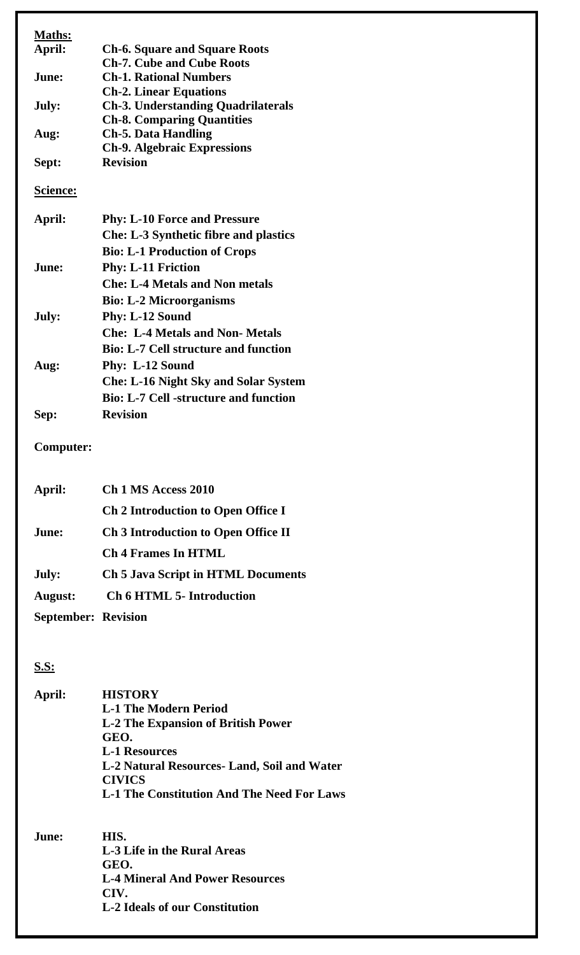| <b>Maths:</b><br>April:    | <b>Ch-6. Square and Square Roots</b>                                                  |
|----------------------------|---------------------------------------------------------------------------------------|
| June:                      | <b>Ch-7. Cube and Cube Roots</b><br><b>Ch-1. Rational Numbers</b>                     |
| July:                      | <b>Ch-2. Linear Equations</b><br><b>Ch-3. Understanding Quadrilaterals</b>            |
| Aug:                       | <b>Ch-8. Comparing Quantities</b><br><b>Ch-5. Data Handling</b>                       |
|                            | <b>Ch-9. Algebraic Expressions</b>                                                    |
| Sept:                      | <b>Revision</b>                                                                       |
| <b>Science:</b>            |                                                                                       |
| April:                     | <b>Phy: L-10 Force and Pressure</b>                                                   |
|                            | <b>Che: L-3 Synthetic fibre and plastics</b><br><b>Bio: L-1 Production of Crops</b>   |
| June:                      | <b>Phy: L-11 Friction</b>                                                             |
|                            | <b>Che: L-4 Metals and Non metals</b>                                                 |
|                            | <b>Bio: L-2 Microorganisms</b>                                                        |
| July:                      | <b>Phy: L-12 Sound</b>                                                                |
|                            | <b>Che: L-4 Metals and Non- Metals</b><br><b>Bio: L-7 Cell structure and function</b> |
| Aug:                       | Phy: L-12 Sound                                                                       |
|                            | <b>Che: L-16 Night Sky and Solar System</b>                                           |
|                            | <b>Bio: L-7 Cell -structure and function</b>                                          |
| Sep:                       | <b>Revision</b>                                                                       |
| <b>Computer:</b>           |                                                                                       |
| April:                     | Ch 1 MS Access 2010                                                                   |
|                            | Ch 2 Introduction to Open Office I                                                    |
| June:                      | Ch 3 Introduction to Open Office II                                                   |
|                            | <b>Ch 4 Frames In HTML</b>                                                            |
| July:                      | <b>Ch 5 Java Script in HTML Documents</b>                                             |
| <b>August:</b>             | <b>Ch 6 HTML 5- Introduction</b>                                                      |
| <b>September: Revision</b> |                                                                                       |
|                            |                                                                                       |
| <u>S.S:</u>                |                                                                                       |
| April:                     | <b>HISTORY</b>                                                                        |
|                            | <b>L-1 The Modern Period</b>                                                          |
|                            | <b>L-2 The Expansion of British Power</b><br>GEO.                                     |
|                            | <b>L-1 Resources</b>                                                                  |
|                            | L-2 Natural Resources- Land, Soil and Water<br><b>CIVICS</b>                          |
|                            | <b>L-1 The Constitution And The Need For Laws</b>                                     |
| June:                      | HIS.                                                                                  |
|                            | L-3 Life in the Rural Areas                                                           |
|                            | GEO.<br><b>L-4 Mineral And Power Resources</b>                                        |
|                            | CIV.                                                                                  |
|                            | <b>L-2 Ideals of our Constitution</b>                                                 |
|                            |                                                                                       |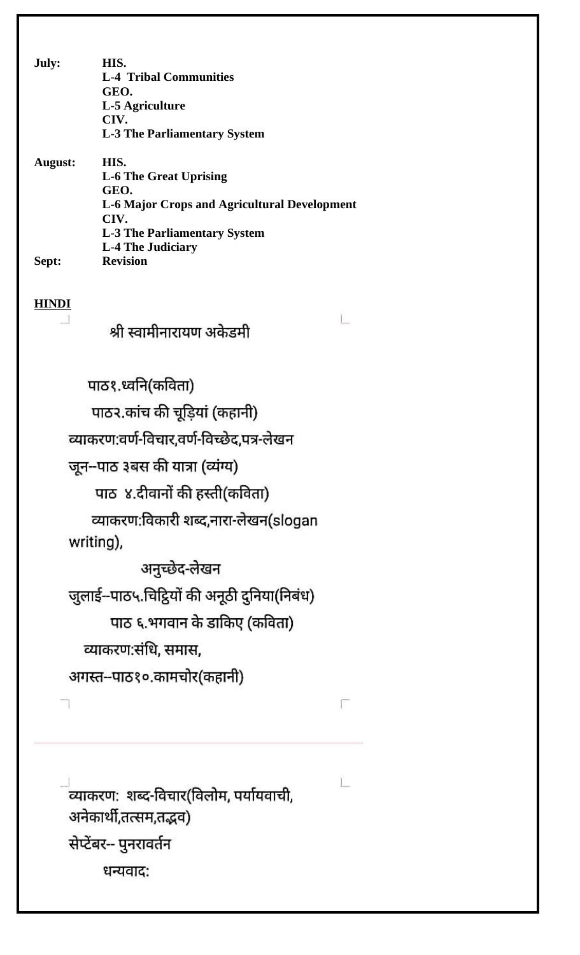July: HIS. **L-4 Tribal Communities** GEO. L-5 Agriculture CIV. **L-3 The Parliamentary System August:** HIS. **L-6 The Great Uprising** GEO. **L-6 Major Crops and Agricultural Development** CIV. **L-3 The Parliamentary System L-4 The Judiciary** Sept: **Revision HINDI** Ľ.

## श्री स्वामीनारायण अकेडमी

Г

L

पाठ१.ध्वनि(कविता) पाठ२.कांच की चूड़ियां (कहानी) व्याकरण:वर्ण-विचार,वर्ण-विच्छेद,पत्र-लेखन जून-पाठ ३बस की यात्रा (व्यंग्य) पाठ ४.दीवानों की हस्ती(कविता) व्याकरण:विकारी शब्द,नारा-लेखन(slogan writing), अनुच्छेद-लेखन जुलाई--पाठ५.चिट्ठियों की अनूठी दुनिया(निबंध) पाठ ६.भगवान के डाकिए (कविता) व्याकरण:संधि, समास, अगस्त--पाठ१०.कामचोर(कहानी)

.<br>व्याकरण: शब्द-विचार(विलोम, पर्यायवाची, अनेकार्थी,तत्सम,तद्भव) सेप्टेंबर-- पुनरावर्तन धन्यवाद: